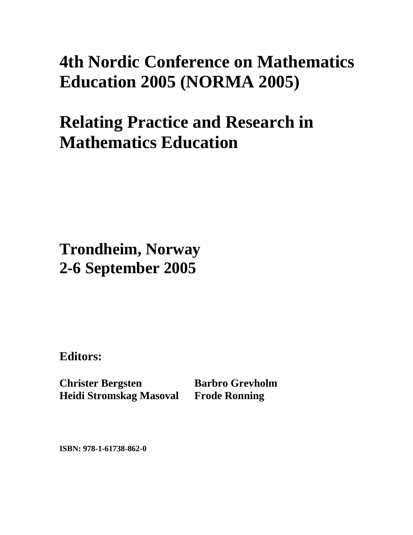## **4th Nordic Conference on Mathematics Education 2005 (NORMA 2005)**

## **Relating Practice and Research in Mathematics Education**

**Trondheim, Norway 2-6 September 2005**

**Editors:** 

**Christer Bergsten Heidi Stromskag Masoval Frode Ronning** 

**Barbro Grevholm** 

**ISBN: 978-1-61738-862-0**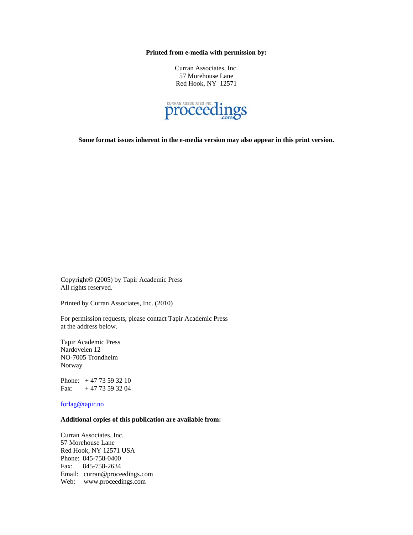**Printed from e-media with permission by:** 

Curran Associates, Inc. 57 Morehouse Lane Red Hook, NY 12571



**Some format issues inherent in the e-media version may also appear in this print version.** 

Copyright© (2005) by Tapir Academic Press All rights reserved.

Printed by Curran Associates, Inc. (2010)

For permission requests, please contact Tapir Academic Press at the address below.

Tapir Academic Press Nardoveien 12 NO-7005 Trondheim Norway

Phone: + 47 73 59 32 10 Fax:  $+ 47 73 59 32 04$ 

forlag@tapir.no

## **Additional copies of this publication are available from:**

Curran Associates, Inc. 57 Morehouse Lane Red Hook, NY 12571 USA Phone: 845-758-0400 Fax: 845-758-2634 Email: curran@proceedings.com Web: www.proceedings.com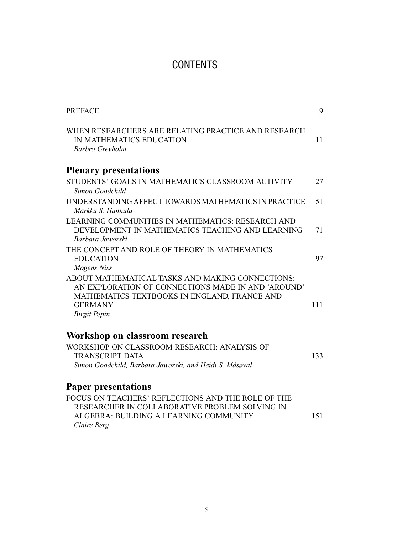## **CONTENTS**

| <b>PREFACE</b>                                                                                                                                                                                  | 9   |
|-------------------------------------------------------------------------------------------------------------------------------------------------------------------------------------------------|-----|
| WHEN RESEARCHERS ARE RELATING PRACTICE AND RESEARCH<br>IN MATHEMATICS EDUCATION<br>Barbro Grevholm                                                                                              | 11  |
| <b>Plenary presentations</b>                                                                                                                                                                    |     |
| STUDENTS' GOALS IN MATHEMATICS CLASSROOM ACTIVITY<br>Simon Goodchild                                                                                                                            | 27  |
| UNDERSTANDING AFFECT TOWARDS MATHEMATICS IN PRACTICE<br>Markku S. Hannula                                                                                                                       | 51  |
| LEARNING COMMUNITIES IN MATHEMATICS: RESEARCH AND<br>DEVELOPMENT IN MATHEMATICS TEACHING AND LEARNING<br>Barbara Jaworski                                                                       | 71  |
| THE CONCEPT AND ROLE OF THEORY IN MATHEMATICS<br><b>EDUCATION</b><br>Mogens Niss                                                                                                                | 97  |
| ABOUT MATHEMATICAL TASKS AND MAKING CONNECTIONS:<br>AN EXPLORATION OF CONNECTIONS MADE IN AND 'AROUND'<br>MATHEMATICS TEXTBOOKS IN ENGLAND, FRANCE AND<br><b>GERMANY</b><br><b>Birgit Pepin</b> | 111 |
| Workshop on classroom research                                                                                                                                                                  |     |
| WORKSHOP ON CLASSROOM RESEARCH: ANALYSIS OF<br><b>TRANSCRIPT DATA</b><br>Simon Goodchild, Barbara Jaworski, and Heidi S. Måsøval                                                                | 133 |
| <b>Paper presentations</b>                                                                                                                                                                      |     |
| FOCUS ON TEACHERS' REFLECTIONS AND THE ROLE OF THE<br>RESEARCHER IN COLLABORATIVE PROBLEM SOLVING IN<br>ALGEBRA: BUILDING A LEARNING COMMUNITY<br>Claire Berg                                   | 151 |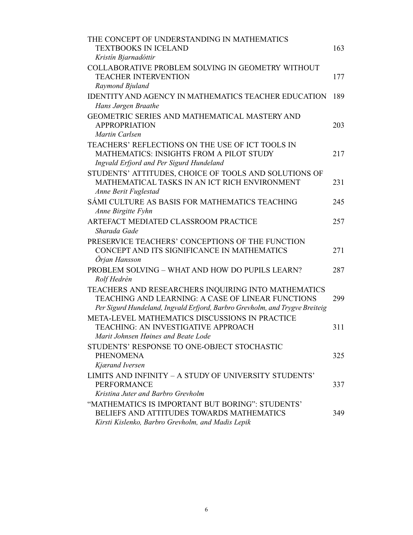| THE CONCEPT OF UNDERSTANDING IN MATHEMATICS<br><b>TEXTBOOKS IN ICELAND</b><br>Kristín Bjarnadóttir                                                                                      | 163 |
|-----------------------------------------------------------------------------------------------------------------------------------------------------------------------------------------|-----|
| COLLABORATIVE PROBLEM SOLVING IN GEOMETRY WITHOUT<br><b>TEACHER INTERVENTION</b><br>Raymond Bjuland                                                                                     | 177 |
| <b>IDENTITY AND AGENCY IN MATHEMATICS TEACHER EDUCATION</b>                                                                                                                             | 189 |
| Hans Jørgen Braathe<br>GEOMETRIC SERIES AND MATHEMATICAL MASTERY AND<br><b>APPROPRIATION</b><br>Martin Carlsen                                                                          | 203 |
| TEACHERS' REFLECTIONS ON THE USE OF ICT TOOLS IN<br><b>MATHEMATICS: INSIGHTS FROM A PILOT STUDY</b><br>Ingvald Erfjord and Per Sigurd Hundeland                                         | 217 |
| STUDENTS' ATTITUDES, CHOICE OF TOOLS AND SOLUTIONS OF<br>MATHEMATICAL TASKS IN AN ICT RICH ENVIRONMENT<br>Anne Berit Fuglestad                                                          | 231 |
| SÁMI CULTURE AS BASIS FOR MATHEMATICS TEACHING<br>Anne Birgitte Fyhn                                                                                                                    | 245 |
| ARTEFACT MEDIATED CLASSROOM PRACTICE<br>Sharada Gade                                                                                                                                    | 257 |
| PRESERVICE TEACHERS' CONCEPTIONS OF THE FUNCTION<br>CONCEPT AND ITS SIGNIFICANCE IN MATHEMATICS<br>Örjan Hansson                                                                        | 271 |
| PROBLEM SOLVING - WHAT AND HOW DO PUPILS LEARN?<br>Rolf Hedrén                                                                                                                          | 287 |
| TEACHERS AND RESEARCHERS INQUIRING INTO MATHEMATICS<br>TEACHING AND LEARNING: A CASE OF LINEAR FUNCTIONS<br>Per Sigurd Hundeland, Ingvald Erfjord, Barbro Grevholm, and Trygve Breiteig | 299 |
| META-LEVEL MATHEMATICS DISCUSSIONS IN PRACTICE<br>TEACHING: AN INVESTIGATIVE APPROACH<br>Marit Johnsen Høines and Beate Lode                                                            | 311 |
| STUDENTS' RESPONSE TO ONE-OBJECT STOCHASTIC<br><b>PHENOMENA</b><br>Kjærand Iversen                                                                                                      | 325 |
| LIMITS AND INFINITY - A STUDY OF UNIVERSITY STUDENTS'<br><b>PERFORMANCE</b><br>Kristina Juter and Barbro Grevholm                                                                       | 337 |
| "MATHEMATICS IS IMPORTANT BUT BORING": STUDENTS'<br>BELIEFS AND ATTITUDES TOWARDS MATHEMATICS<br>Kirsti Kislenko, Barbro Grevholm, and Madis Lepik                                      | 349 |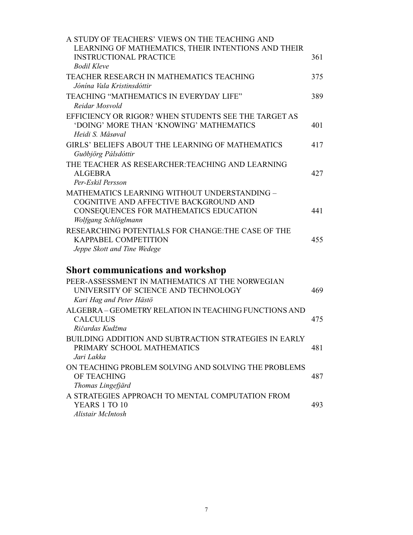| A STUDY OF TEACHERS' VIEWS ON THE TEACHING AND<br>LEARNING OF MATHEMATICS, THEIR INTENTIONS AND THEIR<br><b>INSTRUCTIONAL PRACTICE</b><br><b>Bodil Kleve</b> | 361 |
|--------------------------------------------------------------------------------------------------------------------------------------------------------------|-----|
| TEACHER RESEARCH IN MATHEMATICS TEACHING<br>Jónína Vala Kristinsdóttir                                                                                       | 375 |
| TEACHING "MATHEMATICS IN EVERYDAY LIFE"<br>Reidar Mosvold                                                                                                    | 389 |
| EFFICIENCY OR RIGOR? WHEN STUDENTS SEE THE TARGET AS<br>'DOING' MORE THAN 'KNOWING' MATHEMATICS<br>Heidi S. Måsøval                                          | 401 |
| GIRLS' BELIEFS ABOUT THE LEARNING OF MATHEMATICS<br>Guðbjörg Pálsdóttir                                                                                      | 417 |
| THE TEACHER AS RESEARCHER: TEACHING AND LEARNING<br><b>ALGEBRA</b><br>Per-Eskil Persson                                                                      | 427 |
| MATHEMATICS LEARNING WITHOUT UNDERSTANDING -<br>COGNITIVE AND AFFECTIVE BACKGROUND AND<br>CONSEQUENCES FOR MATHEMATICS EDUCATION<br>Wolfgang Schlöglmann     | 441 |
| RESEARCHING POTENTIALS FOR CHANGE: THE CASE OF THE<br><b>KAPPABEL COMPETITION</b><br>Jeppe Skott and Tine Wedege                                             | 455 |
| <b>Short communications and workshop</b>                                                                                                                     |     |
| PEER-ASSESSMENT IN MATHEMATICS AT THE NORWEGIAN<br>UNIVERSITY OF SCIENCE AND TECHNOLOGY<br>Kari Hag and Peter Hästö                                          | 469 |
| ALGEBRA - GEOMETRY RELATION IN TEACHING FUNCTIONS AND<br><b>CALCULUS</b><br>Ričardas Kudžma                                                                  | 475 |
| BUILDING ADDITION AND SUBTRACTION STRATEGIES IN EARLY<br>PRIMARY SCHOOL MATHEMATICS<br>Jari Lakka                                                            | 481 |
| ON TEACHING PROBLEM SOLVING AND SOLVING THE PROBLEMS<br>OF TEACHING<br>Thomas Lingefjärd                                                                     | 487 |
| A STRATEGIES APPROACH TO MENTAL COMPUTATION FROM<br>YEARS 1 TO 10                                                                                            | 493 |

*Alistair McIntosh*